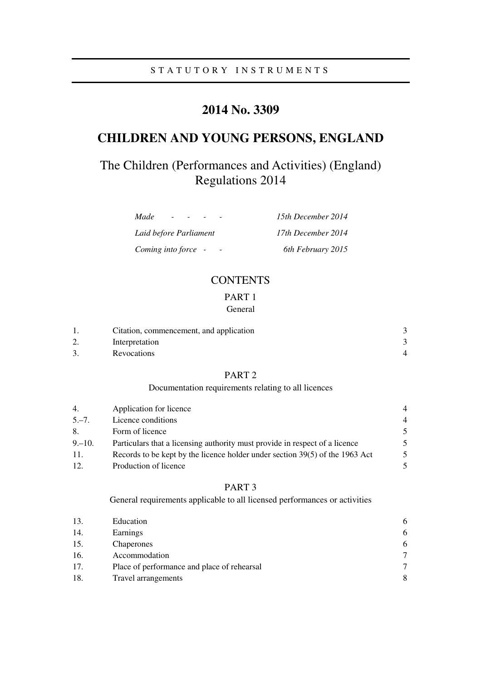# **2014 No. 3309**

# **CHILDREN AND YOUNG PERSONS, ENGLAND**

# The Children (Performances and Activities) (England) Regulations 2014

| Made<br>$\sim$         | 15th December 2014 |
|------------------------|--------------------|
| Laid before Parliament | 17th December 2014 |
| Coming into force -    | 6th February 2015  |

## **CONTENTS**

## PART 1 General

|    | Citation, commencement, and application |  |
|----|-----------------------------------------|--|
| ۷. | Interpretation                          |  |
|    | Revocations                             |  |

## PART 2

## Documentation requirements relating to all licences

| 4.        | Application for licence                                                      | 4 |
|-----------|------------------------------------------------------------------------------|---|
| $5, -7.$  | Licence conditions                                                           | 4 |
| 8.        | Form of licence                                                              | 5 |
| $9 - 10.$ | Particulars that a licensing authority must provide in respect of a licence  | 5 |
| -11.      | Records to be kept by the licence holder under section 39(5) of the 1963 Act | 5 |
| 12.       | Production of licence                                                        |   |

### PART 3

General requirements applicable to all licensed performances or activities

| 13. | Education                                   | 6             |
|-----|---------------------------------------------|---------------|
| 14. | Earnings                                    | 6             |
| 15. | Chaperones                                  | 6             |
| 16. | Accommodation                               | $\tau$        |
| 17. | Place of performance and place of rehearsal | $\mathcal{I}$ |
| 18. | Travel arrangements                         | 8             |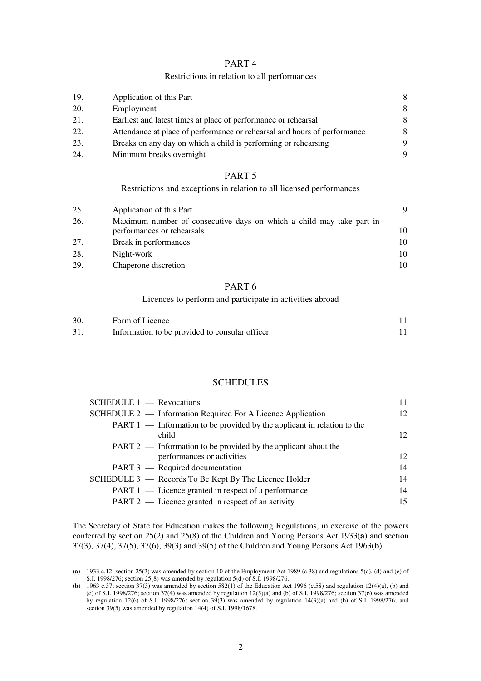### Restrictions in relation to all performances

| 19. | Application of this Part                                                 | 8 |
|-----|--------------------------------------------------------------------------|---|
| 20. | Employment                                                               | 8 |
| 21. | Earliest and latest times at place of performance or rehearsal           | 8 |
| 22. | Attendance at place of performance or rehearsal and hours of performance | 8 |
| 23. | Breaks on any day on which a child is performing or rehearsing           | 9 |
| 24. | Minimum breaks overnight                                                 | 9 |

## PART 5

Restrictions and exceptions in relation to all licensed performances

| 25. | Application of this Part                                             |     |
|-----|----------------------------------------------------------------------|-----|
| 26. | Maximum number of consecutive days on which a child may take part in |     |
|     | performances or rehearsals                                           | 10. |
| 27. | Break in performances                                                | 10. |
| 28. | Night-work                                                           | 10. |
| 29. | Chaperone discretion                                                 | 10. |

## PART 6

Licences to perform and participate in activities abroad

| 30. | Form of Licence                                |  |
|-----|------------------------------------------------|--|
| 31  | Information to be provided to consular officer |  |

## **SCHEDULES**

| $SCHEDULE 1$ - Revocations                                                         | 11 |
|------------------------------------------------------------------------------------|----|
| SCHEDULE 2 — Information Required For A Licence Application                        | 12 |
| $PART 1$ — Information to be provided by the applicant in relation to the<br>child | 12 |
| $PART 2$ — Information to be provided by the applicant about the                   |    |
| performances or activities                                                         | 12 |
| PART 3 — Required documentation                                                    | 14 |
| SCHEDULE 3 — Records To Be Kept By The Licence Holder                              | 14 |
| PART 1 — Licence granted in respect of a performance                               | 14 |
| $PART 2$ — Licence granted in respect of an activity                               | 15 |

The Secretary of State for Education makes the following Regulations, in exercise of the powers conferred by section 25(2) and 25(8) of the Children and Young Persons Act 1933(**a**) and section 37(3), 37(4), 37(5), 37(6), 39(3) and 39(5) of the Children and Young Persons Act 1963(**b**):

<u>.</u>

<sup>(</sup>a) 1933 c.12; section 25(2) was amended by section 10 of the Employment Act 1989 (c.38) and regulations 5(c), (d) and (e) of S.I. 1998/276; section 25(8) was amended by regulation 5(d) of S.I. 1998/276.

<sup>(</sup>**b**) 1963 c.37; section 37(3) was amended by section 582(1) of the Education Act 1996 (c.58) and regulation 12(4)(a), (b) and (c) of S.I. 1998/276; section 37(4) was amended by regulation 12(5)(a) and (b) of S.I. 1998/276; section 37(6) was amended by regulation 12(6) of S.I. 1998/276; section 39(3) was amended by regulation 14(3)(a) and (b) of S.I. 1998/276; and section 39(5) was amended by regulation 14(4) of S.I. 1998/1678.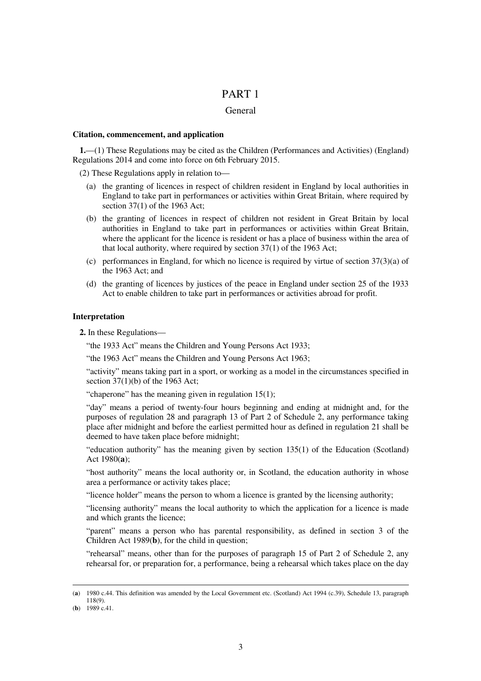#### General

#### **Citation, commencement, and application**

**1.**—(1) These Regulations may be cited as the Children (Performances and Activities) (England) Regulations 2014 and come into force on 6th February 2015.

(2) These Regulations apply in relation to—

- (a) the granting of licences in respect of children resident in England by local authorities in England to take part in performances or activities within Great Britain, where required by section 37(1) of the 1963 Act;
- (b) the granting of licences in respect of children not resident in Great Britain by local authorities in England to take part in performances or activities within Great Britain, where the applicant for the licence is resident or has a place of business within the area of that local authority, where required by section 37(1) of the 1963 Act;
- (c) performances in England, for which no licence is required by virtue of section  $37(3)(a)$  of the 1963 Act; and
- (d) the granting of licences by justices of the peace in England under section 25 of the 1933 Act to enable children to take part in performances or activities abroad for profit.

### **Interpretation**

**2.** In these Regulations—

"the 1933 Act" means the Children and Young Persons Act 1933;

"the 1963 Act" means the Children and Young Persons Act 1963;

"activity" means taking part in a sport, or working as a model in the circumstances specified in section 37(1)(b) of the 1963 Act;

"chaperone" has the meaning given in regulation 15(1);

"day" means a period of twenty-four hours beginning and ending at midnight and, for the purposes of regulation 28 and paragraph 13 of Part 2 of Schedule 2, any performance taking place after midnight and before the earliest permitted hour as defined in regulation 21 shall be deemed to have taken place before midnight;

"education authority" has the meaning given by section 135(1) of the Education (Scotland) Act 1980(**a**);

"host authority" means the local authority or, in Scotland, the education authority in whose area a performance or activity takes place;

"licence holder" means the person to whom a licence is granted by the licensing authority;

"licensing authority" means the local authority to which the application for a licence is made and which grants the licence;

"parent" means a person who has parental responsibility, as defined in section 3 of the Children Act 1989(**b**), for the child in question;

"rehearsal" means, other than for the purposes of paragraph 15 of Part 2 of Schedule 2, any rehearsal for, or preparation for, a performance, being a rehearsal which takes place on the day

<u>.</u>

<sup>(</sup>**a**) 1980 c.44. This definition was amended by the Local Government etc. (Scotland) Act 1994 (c.39), Schedule 13, paragraph 118(9).

<sup>(</sup>**b**) 1989 c.41.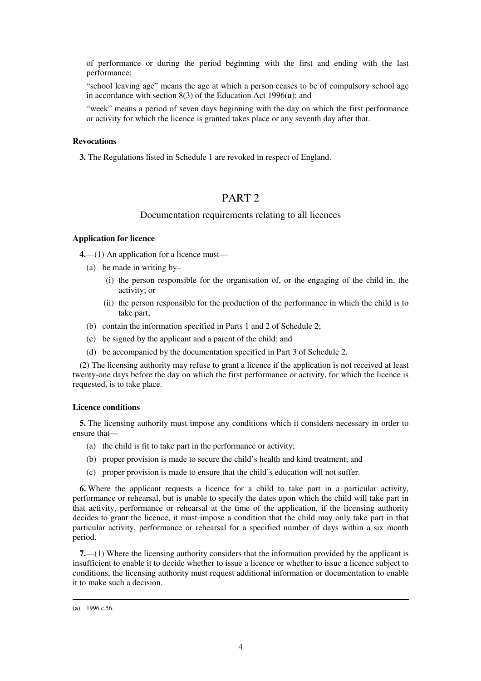of performance or during the period beginning with the first and ending with the last performance;

"school leaving age" means the age at which a person ceases to be of compulsory school age in accordance with section 8(3) of the Education Act 1996(**a**); and

"week" means a period of seven days beginning with the day on which the first performance or activity for which the licence is granted takes place or any seventh day after that.

#### **Revocations**

**3.** The Regulations listed in Schedule 1 are revoked in respect of England.

## PART 2

#### Documentation requirements relating to all licences

#### **Application for licence**

**4.**—(1) An application for a licence must—

- (a) be made in writing by–
	- (i) the person responsible for the organisation of, or the engaging of the child in, the activity; or
	- (ii) the person responsible for the production of the performance in which the child is to take part;
- (b) contain the information specified in Parts 1 and 2 of Schedule 2;
- (c) be signed by the applicant and a parent of the child; and
- (d) be accompanied by the documentation specified in Part 3 of Schedule 2.

(2) The licensing authority may refuse to grant a licence if the application is not received at least twenty-one days before the day on which the first performance or activity, for which the licence is requested, is to take place.

#### **Licence conditions**

**5.** The licensing authority must impose any conditions which it considers necessary in order to ensure that—

- (a) the child is fit to take part in the performance or activity;
- (b) proper provision is made to secure the child's health and kind treatment; and
- (c) proper provision is made to ensure that the child's education will not suffer.

**6.** Where the applicant requests a licence for a child to take part in a particular activity, performance or rehearsal, but is unable to specify the dates upon which the child will take part in that activity, performance or rehearsal at the time of the application, if the licensing authority decides to grant the licence, it must impose a condition that the child may only take part in that particular activity, performance or rehearsal for a specified number of days within a six month period.

**7.**—(1) Where the licensing authority considers that the information provided by the applicant is insufficient to enable it to decide whether to issue a licence or whether to issue a licence subject to conditions, the licensing authority must request additional information or documentation to enable it to make such a decision.

<u>.</u>

<sup>(</sup>**a**) 1996 c.56.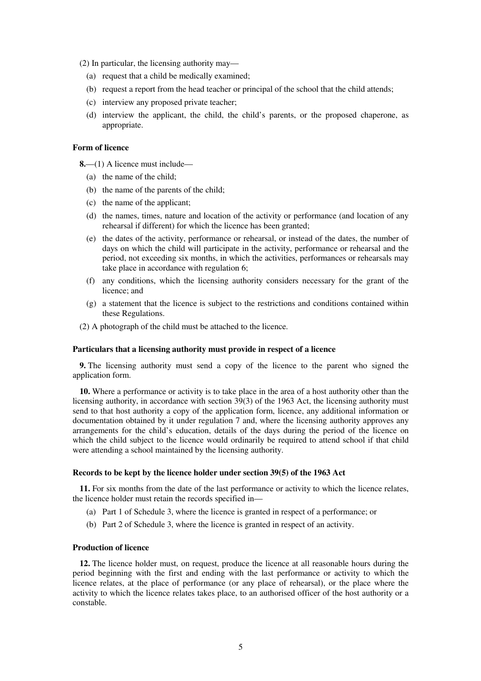(2) In particular, the licensing authority may—

- (a) request that a child be medically examined;
- (b) request a report from the head teacher or principal of the school that the child attends;
- (c) interview any proposed private teacher;
- (d) interview the applicant, the child, the child's parents, or the proposed chaperone, as appropriate.

#### **Form of licence**

**8.**—(1) A licence must include—

- (a) the name of the child;
- (b) the name of the parents of the child;
- (c) the name of the applicant;
- (d) the names, times, nature and location of the activity or performance (and location of any rehearsal if different) for which the licence has been granted;
- (e) the dates of the activity, performance or rehearsal, or instead of the dates, the number of days on which the child will participate in the activity, performance or rehearsal and the period, not exceeding six months, in which the activities, performances or rehearsals may take place in accordance with regulation 6;
- (f) any conditions, which the licensing authority considers necessary for the grant of the licence; and
- (g) a statement that the licence is subject to the restrictions and conditions contained within these Regulations.
- (2) A photograph of the child must be attached to the licence.

#### **Particulars that a licensing authority must provide in respect of a licence**

**9.** The licensing authority must send a copy of the licence to the parent who signed the application form.

**10.** Where a performance or activity is to take place in the area of a host authority other than the licensing authority, in accordance with section 39(3) of the 1963 Act, the licensing authority must send to that host authority a copy of the application form, licence, any additional information or documentation obtained by it under regulation 7 and, where the licensing authority approves any arrangements for the child's education, details of the days during the period of the licence on which the child subject to the licence would ordinarily be required to attend school if that child were attending a school maintained by the licensing authority.

#### **Records to be kept by the licence holder under section 39(5) of the 1963 Act**

**11.** For six months from the date of the last performance or activity to which the licence relates, the licence holder must retain the records specified in—

- (a) Part 1 of Schedule 3, where the licence is granted in respect of a performance; or
- (b) Part 2 of Schedule 3, where the licence is granted in respect of an activity.

#### **Production of licence**

**12.** The licence holder must, on request, produce the licence at all reasonable hours during the period beginning with the first and ending with the last performance or activity to which the licence relates, at the place of performance (or any place of rehearsal), or the place where the activity to which the licence relates takes place, to an authorised officer of the host authority or a constable.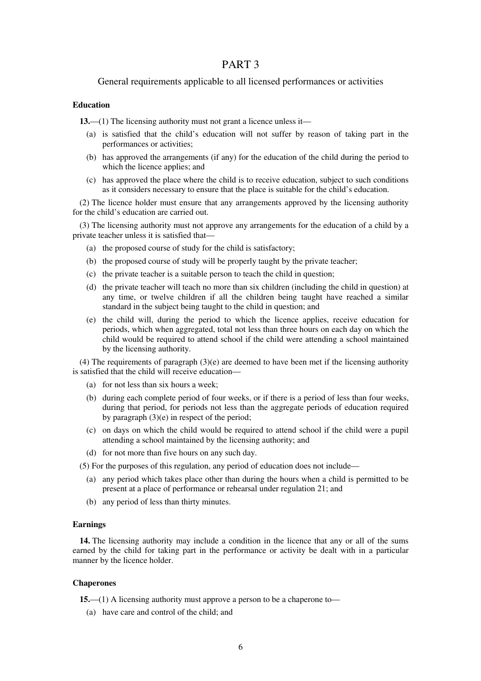### General requirements applicable to all licensed performances or activities

### **Education**

**13.**—(1) The licensing authority must not grant a licence unless it—

- (a) is satisfied that the child's education will not suffer by reason of taking part in the performances or activities;
- (b) has approved the arrangements (if any) for the education of the child during the period to which the licence applies; and
- (c) has approved the place where the child is to receive education, subject to such conditions as it considers necessary to ensure that the place is suitable for the child's education.

(2) The licence holder must ensure that any arrangements approved by the licensing authority for the child's education are carried out.

(3) The licensing authority must not approve any arrangements for the education of a child by a private teacher unless it is satisfied that—

- (a) the proposed course of study for the child is satisfactory;
- (b) the proposed course of study will be properly taught by the private teacher;
- (c) the private teacher is a suitable person to teach the child in question;
- (d) the private teacher will teach no more than six children (including the child in question) at any time, or twelve children if all the children being taught have reached a similar standard in the subject being taught to the child in question; and
- (e) the child will, during the period to which the licence applies, receive education for periods, which when aggregated, total not less than three hours on each day on which the child would be required to attend school if the child were attending a school maintained by the licensing authority.

(4) The requirements of paragraph (3)(e) are deemed to have been met if the licensing authority is satisfied that the child will receive education—

- (a) for not less than six hours a week;
- (b) during each complete period of four weeks, or if there is a period of less than four weeks, during that period, for periods not less than the aggregate periods of education required by paragraph (3)(e) in respect of the period;
- (c) on days on which the child would be required to attend school if the child were a pupil attending a school maintained by the licensing authority; and
- (d) for not more than five hours on any such day.
- (5) For the purposes of this regulation, any period of education does not include—
	- (a) any period which takes place other than during the hours when a child is permitted to be present at a place of performance or rehearsal under regulation 21; and
	- (b) any period of less than thirty minutes.

#### **Earnings**

**14.** The licensing authority may include a condition in the licence that any or all of the sums earned by the child for taking part in the performance or activity be dealt with in a particular manner by the licence holder.

#### **Chaperones**

**15.**—(1) A licensing authority must approve a person to be a chaperone to—

(a) have care and control of the child; and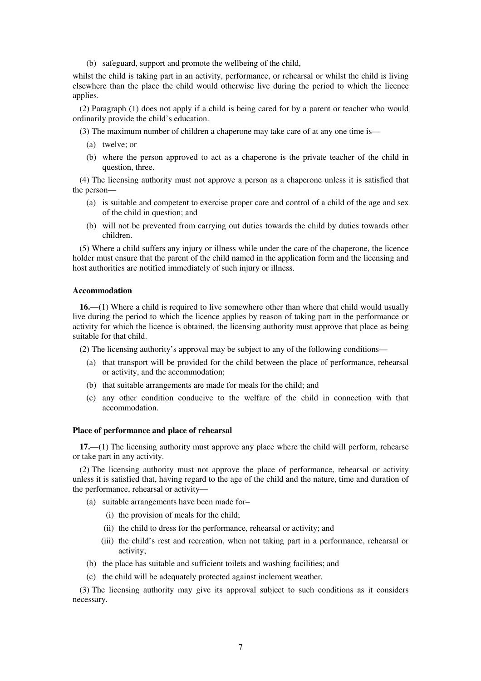(b) safeguard, support and promote the wellbeing of the child,

whilst the child is taking part in an activity, performance, or rehearsal or whilst the child is living elsewhere than the place the child would otherwise live during the period to which the licence applies.

(2) Paragraph (1) does not apply if a child is being cared for by a parent or teacher who would ordinarily provide the child's education.

(3) The maximum number of children a chaperone may take care of at any one time is—

- (a) twelve; or
- (b) where the person approved to act as a chaperone is the private teacher of the child in question, three.

(4) The licensing authority must not approve a person as a chaperone unless it is satisfied that the person—

- (a) is suitable and competent to exercise proper care and control of a child of the age and sex of the child in question; and
- (b) will not be prevented from carrying out duties towards the child by duties towards other children.

(5) Where a child suffers any injury or illness while under the care of the chaperone, the licence holder must ensure that the parent of the child named in the application form and the licensing and host authorities are notified immediately of such injury or illness.

#### **Accommodation**

**16.**—(1) Where a child is required to live somewhere other than where that child would usually live during the period to which the licence applies by reason of taking part in the performance or activity for which the licence is obtained, the licensing authority must approve that place as being suitable for that child.

(2) The licensing authority's approval may be subject to any of the following conditions—

- (a) that transport will be provided for the child between the place of performance, rehearsal or activity, and the accommodation;
- (b) that suitable arrangements are made for meals for the child; and
- (c) any other condition conducive to the welfare of the child in connection with that accommodation.

#### **Place of performance and place of rehearsal**

**17.**—(1) The licensing authority must approve any place where the child will perform, rehearse or take part in any activity.

(2) The licensing authority must not approve the place of performance, rehearsal or activity unless it is satisfied that, having regard to the age of the child and the nature, time and duration of the performance, rehearsal or activity—

- (a) suitable arrangements have been made for–
	- (i) the provision of meals for the child;
	- (ii) the child to dress for the performance, rehearsal or activity; and
	- (iii) the child's rest and recreation, when not taking part in a performance, rehearsal or activity;
- (b) the place has suitable and sufficient toilets and washing facilities; and
- (c) the child will be adequately protected against inclement weather.

(3) The licensing authority may give its approval subject to such conditions as it considers necessary.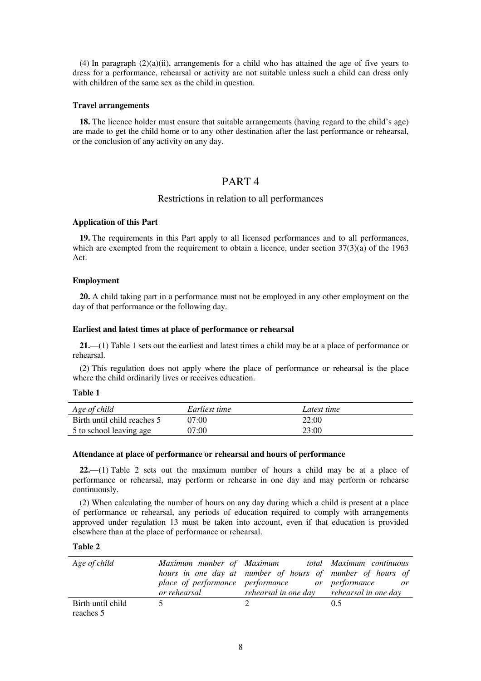(4) In paragraph  $(2)(a)(ii)$ , arrangements for a child who has attained the age of five years to dress for a performance, rehearsal or activity are not suitable unless such a child can dress only with children of the same sex as the child in question.

#### **Travel arrangements**

**18.** The licence holder must ensure that suitable arrangements (having regard to the child's age) are made to get the child home or to any other destination after the last performance or rehearsal, or the conclusion of any activity on any day.

## PART 4

## Restrictions in relation to all performances

#### **Application of this Part**

**19.** The requirements in this Part apply to all licensed performances and to all performances, which are exempted from the requirement to obtain a licence, under section  $37(3)(a)$  of the 1963 Act.

#### **Employment**

**20.** A child taking part in a performance must not be employed in any other employment on the day of that performance or the following day.

#### **Earliest and latest times at place of performance or rehearsal**

**21.**—(1) Table 1 sets out the earliest and latest times a child may be at a place of performance or rehearsal.

(2) This regulation does not apply where the place of performance or rehearsal is the place where the child ordinarily lives or receives education.

#### **Table 1**

| Age of child                | Earliest time | Latest time |
|-----------------------------|---------------|-------------|
| Birth until child reaches 5 | 07:00         | 22:00       |
| 5 to school leaving age     | 07:00         | 23:00       |

#### **Attendance at place of performance or rehearsal and hours of performance**

**22.**—(1) Table 2 sets out the maximum number of hours a child may be at a place of performance or rehearsal, may perform or rehearse in one day and may perform or rehearse continuously.

(2) When calculating the number of hours on any day during which a child is present at a place of performance or rehearsal, any periods of education required to comply with arrangements approved under regulation 13 must be taken into account, even if that education is provided elsewhere than at the place of performance or rehearsal.

**Table 2** 

| Age of child                   | Maximum number of Maximum total Maximum continuous<br>hours in one day at number of hours of number of hours of<br>place of performance performance or performance<br>or rehearsal <i>rehearsal in one day rehearsal in one day</i> | or  |
|--------------------------------|-------------------------------------------------------------------------------------------------------------------------------------------------------------------------------------------------------------------------------------|-----|
| Birth until child<br>reaches 5 |                                                                                                                                                                                                                                     | 0.5 |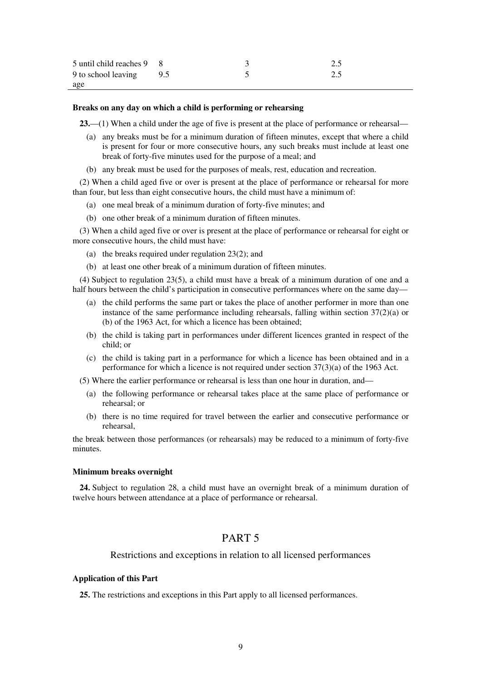| 5 until child reaches 9 8 |  |  |
|---------------------------|--|--|
| 9 to school leaving 9.5   |  |  |
| age                       |  |  |

#### **Breaks on any day on which a child is performing or rehearsing**

**23.**—(1) When a child under the age of five is present at the place of performance or rehearsal—

- (a) any breaks must be for a minimum duration of fifteen minutes, except that where a child is present for four or more consecutive hours, any such breaks must include at least one break of forty-five minutes used for the purpose of a meal; and
- (b) any break must be used for the purposes of meals, rest, education and recreation.

(2) When a child aged five or over is present at the place of performance or rehearsal for more than four, but less than eight consecutive hours, the child must have a minimum of:

- (a) one meal break of a minimum duration of forty-five minutes; and
- (b) one other break of a minimum duration of fifteen minutes.

(3) When a child aged five or over is present at the place of performance or rehearsal for eight or more consecutive hours, the child must have:

- (a) the breaks required under regulation 23(2); and
- (b) at least one other break of a minimum duration of fifteen minutes.

(4) Subject to regulation 23(5), a child must have a break of a minimum duration of one and a half hours between the child's participation in consecutive performances where on the same day—

- (a) the child performs the same part or takes the place of another performer in more than one instance of the same performance including rehearsals, falling within section 37(2)(a) or (b) of the 1963 Act, for which a licence has been obtained;
- (b) the child is taking part in performances under different licences granted in respect of the child; or
- (c) the child is taking part in a performance for which a licence has been obtained and in a performance for which a licence is not required under section 37(3)(a) of the 1963 Act.
- (5) Where the earlier performance or rehearsal is less than one hour in duration, and—
	- (a) the following performance or rehearsal takes place at the same place of performance or rehearsal; or
	- (b) there is no time required for travel between the earlier and consecutive performance or rehearsal,

the break between those performances (or rehearsals) may be reduced to a minimum of forty-five minutes.

#### **Minimum breaks overnight**

**24.** Subject to regulation 28, a child must have an overnight break of a minimum duration of twelve hours between attendance at a place of performance or rehearsal.

## PART 5

### Restrictions and exceptions in relation to all licensed performances

#### **Application of this Part**

**25.** The restrictions and exceptions in this Part apply to all licensed performances.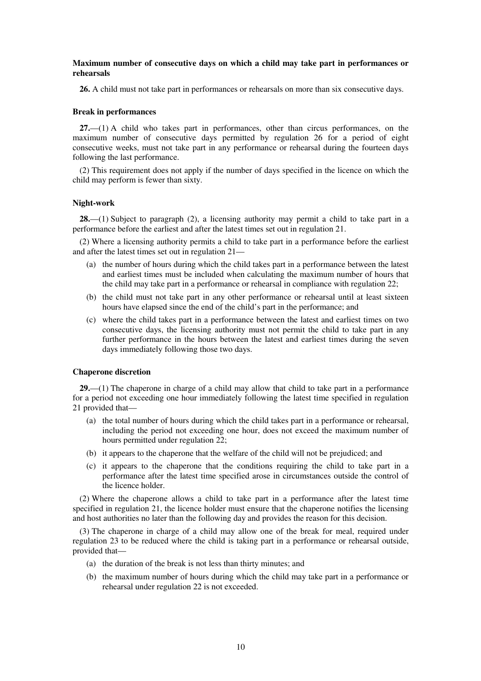#### **Maximum number of consecutive days on which a child may take part in performances or rehearsals**

**26.** A child must not take part in performances or rehearsals on more than six consecutive days.

#### **Break in performances**

**27.**—(1) A child who takes part in performances, other than circus performances, on the maximum number of consecutive days permitted by regulation 26 for a period of eight consecutive weeks, must not take part in any performance or rehearsal during the fourteen days following the last performance.

(2) This requirement does not apply if the number of days specified in the licence on which the child may perform is fewer than sixty.

#### **Night-work**

**28.**—(1) Subject to paragraph (2), a licensing authority may permit a child to take part in a performance before the earliest and after the latest times set out in regulation 21.

(2) Where a licensing authority permits a child to take part in a performance before the earliest and after the latest times set out in regulation 21—

- (a) the number of hours during which the child takes part in a performance between the latest and earliest times must be included when calculating the maximum number of hours that the child may take part in a performance or rehearsal in compliance with regulation 22;
- (b) the child must not take part in any other performance or rehearsal until at least sixteen hours have elapsed since the end of the child's part in the performance; and
- (c) where the child takes part in a performance between the latest and earliest times on two consecutive days, the licensing authority must not permit the child to take part in any further performance in the hours between the latest and earliest times during the seven days immediately following those two days.

#### **Chaperone discretion**

**29.**—(1) The chaperone in charge of a child may allow that child to take part in a performance for a period not exceeding one hour immediately following the latest time specified in regulation 21 provided that—

- (a) the total number of hours during which the child takes part in a performance or rehearsal, including the period not exceeding one hour, does not exceed the maximum number of hours permitted under regulation 22;
- (b) it appears to the chaperone that the welfare of the child will not be prejudiced; and
- (c) it appears to the chaperone that the conditions requiring the child to take part in a performance after the latest time specified arose in circumstances outside the control of the licence holder.

(2) Where the chaperone allows a child to take part in a performance after the latest time specified in regulation 21, the licence holder must ensure that the chaperone notifies the licensing and host authorities no later than the following day and provides the reason for this decision.

(3) The chaperone in charge of a child may allow one of the break for meal, required under regulation 23 to be reduced where the child is taking part in a performance or rehearsal outside, provided that—

- (a) the duration of the break is not less than thirty minutes; and
- (b) the maximum number of hours during which the child may take part in a performance or rehearsal under regulation 22 is not exceeded.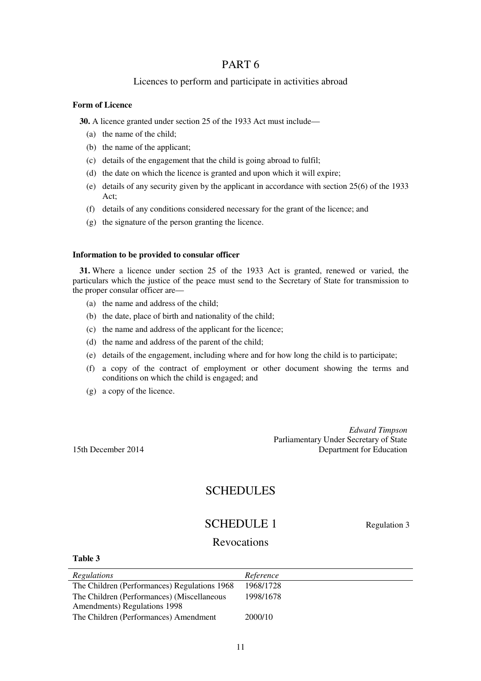## Licences to perform and participate in activities abroad

### **Form of Licence**

**30.** A licence granted under section 25 of the 1933 Act must include—

- (a) the name of the child;
- (b) the name of the applicant;
- (c) details of the engagement that the child is going abroad to fulfil;
- (d) the date on which the licence is granted and upon which it will expire;
- (e) details of any security given by the applicant in accordance with section 25(6) of the 1933 Act;
- (f) details of any conditions considered necessary for the grant of the licence; and
- (g) the signature of the person granting the licence.

#### **Information to be provided to consular officer**

**31.** Where a licence under section 25 of the 1933 Act is granted, renewed or varied, the particulars which the justice of the peace must send to the Secretary of State for transmission to the proper consular officer are—

- (a) the name and address of the child;
- (b) the date, place of birth and nationality of the child;
- (c) the name and address of the applicant for the licence;
- (d) the name and address of the parent of the child;
- (e) details of the engagement, including where and for how long the child is to participate;
- (f) a copy of the contract of employment or other document showing the terms and conditions on which the child is engaged; and
- (g) a copy of the licence.

*Edward Timpson* Parliamentary Under Secretary of State 15th December 2014 Department for Education

## **SCHEDULES**

# SCHEDULE 1 Regulation 3

## Revocations

| Table 3                                      |           |
|----------------------------------------------|-----------|
| Regulations                                  | Reference |
| The Children (Performances) Regulations 1968 | 1968/1728 |
| The Children (Performances) (Miscellaneous   | 1998/1678 |
| Amendments) Regulations 1998                 |           |

The Children (Performances) Amendment 2000/10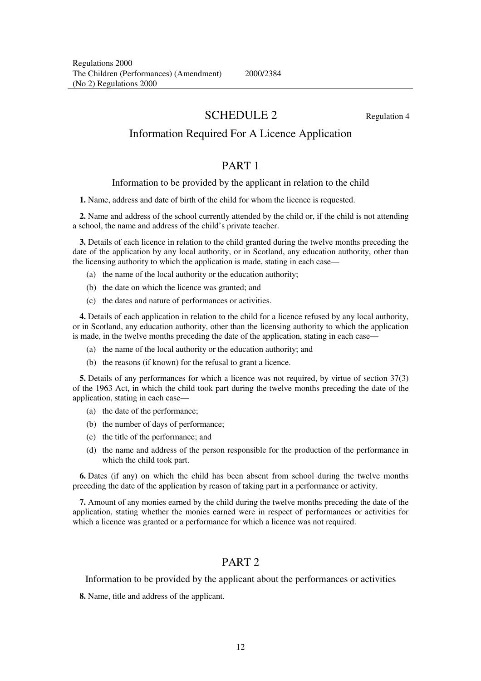2000/2384

# SCHEDULE 2 Regulation 4

## Information Required For A Licence Application

## PART 1

#### Information to be provided by the applicant in relation to the child

**1.** Name, address and date of birth of the child for whom the licence is requested.

**2.** Name and address of the school currently attended by the child or, if the child is not attending a school, the name and address of the child's private teacher.

**3.** Details of each licence in relation to the child granted during the twelve months preceding the date of the application by any local authority, or in Scotland, any education authority, other than the licensing authority to which the application is made, stating in each case—

- (a) the name of the local authority or the education authority;
- (b) the date on which the licence was granted; and
- (c) the dates and nature of performances or activities.

**4.** Details of each application in relation to the child for a licence refused by any local authority, or in Scotland, any education authority, other than the licensing authority to which the application is made, in the twelve months preceding the date of the application, stating in each case—

- (a) the name of the local authority or the education authority; and
- (b) the reasons (if known) for the refusal to grant a licence.

**5.** Details of any performances for which a licence was not required, by virtue of section 37(3) of the 1963 Act, in which the child took part during the twelve months preceding the date of the application, stating in each case—

- (a) the date of the performance;
- (b) the number of days of performance;
- (c) the title of the performance; and
- (d) the name and address of the person responsible for the production of the performance in which the child took part.

**6.** Dates (if any) on which the child has been absent from school during the twelve months preceding the date of the application by reason of taking part in a performance or activity.

**7.** Amount of any monies earned by the child during the twelve months preceding the date of the application, stating whether the monies earned were in respect of performances or activities for which a licence was granted or a performance for which a licence was not required.

## PART 2

Information to be provided by the applicant about the performances or activities

**8.** Name, title and address of the applicant.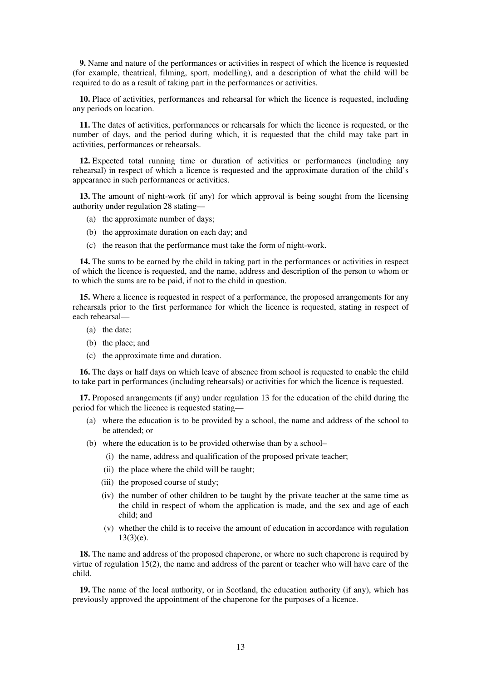**9.** Name and nature of the performances or activities in respect of which the licence is requested (for example, theatrical, filming, sport, modelling), and a description of what the child will be required to do as a result of taking part in the performances or activities.

**10.** Place of activities, performances and rehearsal for which the licence is requested, including any periods on location.

**11.** The dates of activities, performances or rehearsals for which the licence is requested, or the number of days, and the period during which, it is requested that the child may take part in activities, performances or rehearsals.

**12.** Expected total running time or duration of activities or performances (including any rehearsal) in respect of which a licence is requested and the approximate duration of the child's appearance in such performances or activities.

**13.** The amount of night-work (if any) for which approval is being sought from the licensing authority under regulation 28 stating—

- (a) the approximate number of days;
- (b) the approximate duration on each day; and
- (c) the reason that the performance must take the form of night-work.

**14.** The sums to be earned by the child in taking part in the performances or activities in respect of which the licence is requested, and the name, address and description of the person to whom or to which the sums are to be paid, if not to the child in question.

**15.** Where a licence is requested in respect of a performance, the proposed arrangements for any rehearsals prior to the first performance for which the licence is requested, stating in respect of each rehearsal—

- (a) the date;
- (b) the place; and
- (c) the approximate time and duration.

**16.** The days or half days on which leave of absence from school is requested to enable the child to take part in performances (including rehearsals) or activities for which the licence is requested.

**17.** Proposed arrangements (if any) under regulation 13 for the education of the child during the period for which the licence is requested stating—

- (a) where the education is to be provided by a school, the name and address of the school to be attended; or
- (b) where the education is to be provided otherwise than by a school–
	- (i) the name, address and qualification of the proposed private teacher;
	- (ii) the place where the child will be taught;
	- (iii) the proposed course of study;
	- (iv) the number of other children to be taught by the private teacher at the same time as the child in respect of whom the application is made, and the sex and age of each child; and
	- (v) whether the child is to receive the amount of education in accordance with regulation 13(3)(e).

**18.** The name and address of the proposed chaperone, or where no such chaperone is required by virtue of regulation 15(2), the name and address of the parent or teacher who will have care of the child.

**19.** The name of the local authority, or in Scotland, the education authority (if any), which has previously approved the appointment of the chaperone for the purposes of a licence.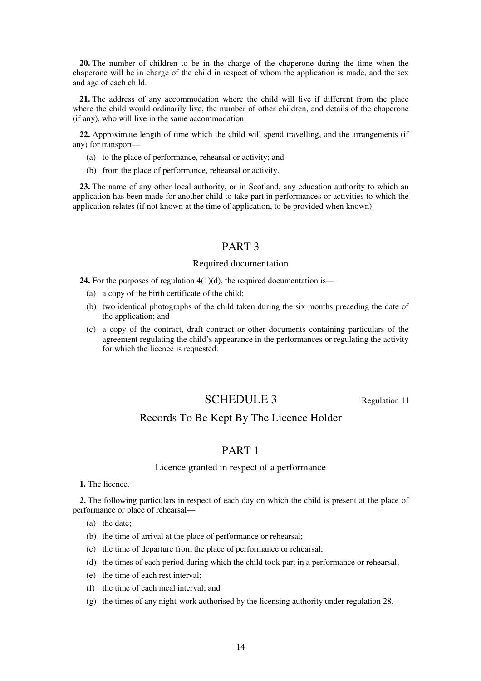**20.** The number of children to be in the charge of the chaperone during the time when the chaperone will be in charge of the child in respect of whom the application is made, and the sex and age of each child.

**21.** The address of any accommodation where the child will live if different from the place where the child would ordinarily live, the number of other children, and details of the chaperone (if any), who will live in the same accommodation.

**22.** Approximate length of time which the child will spend travelling, and the arrangements (if any) for transport—

- (a) to the place of performance, rehearsal or activity; and
- (b) from the place of performance, rehearsal or activity.

**23.** The name of any other local authority, or in Scotland, any education authority to which an application has been made for another child to take part in performances or activities to which the application relates (if not known at the time of application, to be provided when known).

## PART 3

#### Required documentation

**24.** For the purposes of regulation 4(1)(d), the required documentation is—

- (a) a copy of the birth certificate of the child;
- (b) two identical photographs of the child taken during the six months preceding the date of the application; and
- (c) a copy of the contract, draft contract or other documents containing particulars of the agreement regulating the child's appearance in the performances or regulating the activity for which the licence is requested.

## SCHEDULE 3 Regulation 11

## Records To Be Kept By The Licence Holder

## PART 1

#### Licence granted in respect of a performance

**1.** The licence.

**2.** The following particulars in respect of each day on which the child is present at the place of performance or place of rehearsal—

- (a) the date;
- (b) the time of arrival at the place of performance or rehearsal;
- (c) the time of departure from the place of performance or rehearsal;
- (d) the times of each period during which the child took part in a performance or rehearsal;
- (e) the time of each rest interval;
- (f) the time of each meal interval; and
- (g) the times of any night-work authorised by the licensing authority under regulation 28.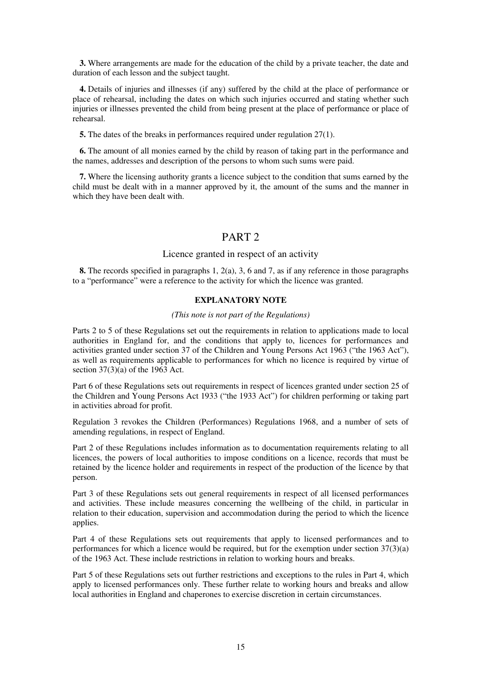**3.** Where arrangements are made for the education of the child by a private teacher, the date and duration of each lesson and the subject taught.

**4.** Details of injuries and illnesses (if any) suffered by the child at the place of performance or place of rehearsal, including the dates on which such injuries occurred and stating whether such injuries or illnesses prevented the child from being present at the place of performance or place of rehearsal.

**5.** The dates of the breaks in performances required under regulation 27(1).

**6.** The amount of all monies earned by the child by reason of taking part in the performance and the names, addresses and description of the persons to whom such sums were paid.

**7.** Where the licensing authority grants a licence subject to the condition that sums earned by the child must be dealt with in a manner approved by it, the amount of the sums and the manner in which they have been dealt with.

## PART 2

### Licence granted in respect of an activity

**8.** The records specified in paragraphs 1, 2(a), 3, 6 and 7, as if any reference in those paragraphs to a "performance" were a reference to the activity for which the licence was granted.

### **EXPLANATORY NOTE**

#### *(This note is not part of the Regulations)*

Parts 2 to 5 of these Regulations set out the requirements in relation to applications made to local authorities in England for, and the conditions that apply to, licences for performances and activities granted under section 37 of the Children and Young Persons Act 1963 ("the 1963 Act"), as well as requirements applicable to performances for which no licence is required by virtue of section 37(3)(a) of the 1963 Act.

Part 6 of these Regulations sets out requirements in respect of licences granted under section 25 of the Children and Young Persons Act 1933 ("the 1933 Act") for children performing or taking part in activities abroad for profit.

Regulation 3 revokes the Children (Performances) Regulations 1968, and a number of sets of amending regulations, in respect of England.

Part 2 of these Regulations includes information as to documentation requirements relating to all licences, the powers of local authorities to impose conditions on a licence, records that must be retained by the licence holder and requirements in respect of the production of the licence by that person.

Part 3 of these Regulations sets out general requirements in respect of all licensed performances and activities. These include measures concerning the wellbeing of the child, in particular in relation to their education, supervision and accommodation during the period to which the licence applies.

Part 4 of these Regulations sets out requirements that apply to licensed performances and to performances for which a licence would be required, but for the exemption under section 37(3)(a) of the 1963 Act. These include restrictions in relation to working hours and breaks.

Part 5 of these Regulations sets out further restrictions and exceptions to the rules in Part 4, which apply to licensed performances only. These further relate to working hours and breaks and allow local authorities in England and chaperones to exercise discretion in certain circumstances.